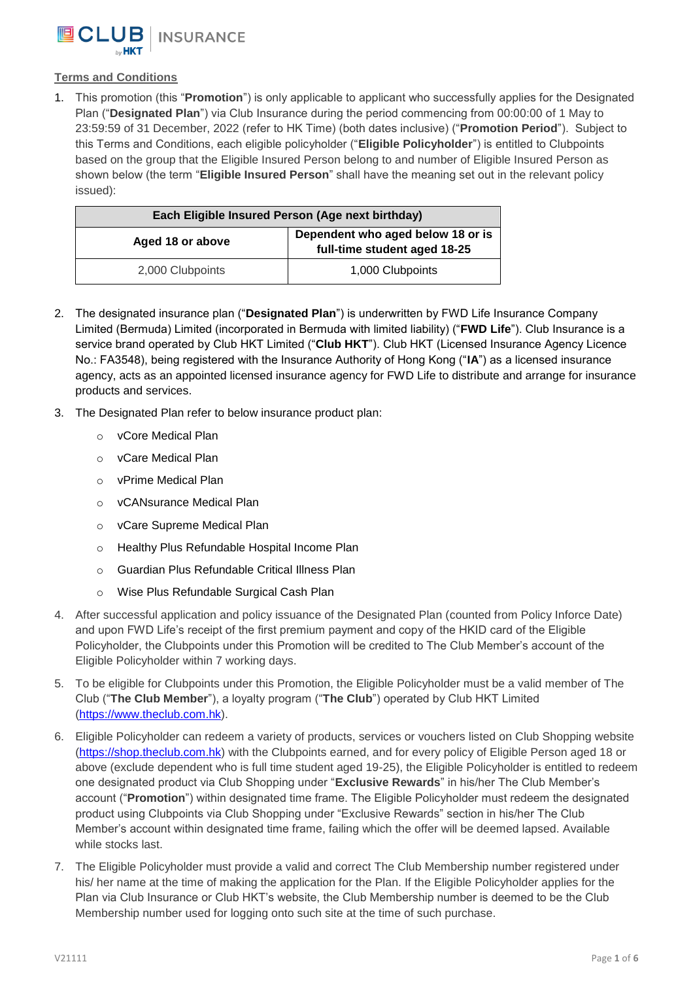

## **Terms and Conditions**

1. This promotion (this "**Promotion**") is only applicable to applicant who successfully applies for the Designated Plan ("**Designated Plan**") via Club Insurance during the period commencing from 00:00:00 of 1 May to 23:59:59 of 31 December, 2022 (refer to HK Time) (both dates inclusive) ("**Promotion Period**"). Subject to this Terms and Conditions, each eligible policyholder ("**Eligible Policyholder**") is entitled to Clubpoints based on the group that the Eligible Insured Person belong to and number of Eligible Insured Person as shown below (the term "**Eligible Insured Person**" shall have the meaning set out in the relevant policy issued):

| Each Eligible Insured Person (Age next birthday) |                                                                   |
|--------------------------------------------------|-------------------------------------------------------------------|
| Aged 18 or above                                 | Dependent who aged below 18 or is<br>full-time student aged 18-25 |
| 2,000 Clubpoints                                 | 1,000 Clubpoints                                                  |

- 2. The designated insurance plan ("**Designated Plan**") is underwritten by FWD Life Insurance Company Limited (Bermuda) Limited (incorporated in Bermuda with limited liability) ("**FWD Life**"). Club Insurance is a service brand operated by Club HKT Limited ("**Club HKT**"). Club HKT (Licensed Insurance Agency Licence No.: FA3548), being registered with the Insurance Authority of Hong Kong ("**IA**") as a licensed insurance agency, acts as an appointed licensed insurance agency for FWD Life to distribute and arrange for insurance products and services.
- 3. The Designated Plan refer to below insurance product plan:
	- o vCore Medical Plan
	- o vCare Medical Plan
	- o vPrime Medical Plan
	- o vCANsurance Medical Plan
	- o vCare Supreme Medical Plan
	- o Healthy Plus Refundable Hospital Income Plan
	- o Guardian Plus Refundable Critical Illness Plan
	- o Wise Plus Refundable Surgical Cash Plan
- 4. After successful application and policy issuance of the Designated Plan (counted from Policy Inforce Date) and upon FWD Life's receipt of the first premium payment and copy of the HKID card of the Eligible Policyholder, the Clubpoints under this Promotion will be credited to The Club Member's account of the Eligible Policyholder within 7 working days.
- 5. To be eligible for Clubpoints under this Promotion, the Eligible Policyholder must be a valid member of The Club ("**The Club Member**"), a loyalty program ("**The Club**") operated by Club HKT Limited [\(https://www.theclub.com.hk\)](https://www.theclub.com.hk/).
- 6. Eligible Policyholder can redeem a variety of products, services or vouchers listed on Club Shopping website [\(https://shop.theclub.com.hk\)](https://shop.theclub.com.hk/) with the Clubpoints earned, and for every policy of Eligible Person aged 18 or above (exclude dependent who is full time student aged 19-25), the Eligible Policyholder is entitled to redeem one designated product via Club Shopping under "**Exclusive Rewards**" in his/her The Club Member's account ("**Promotion**") within designated time frame. The Eligible Policyholder must redeem the designated product using Clubpoints via Club Shopping under "Exclusive Rewards" section in his/her The Club Member's account within designated time frame, failing which the offer will be deemed lapsed. Available while stocks last.
- 7. The Eligible Policyholder must provide a valid and correct The Club Membership number registered under his/ her name at the time of making the application for the Plan. If the Eligible Policyholder applies for the Plan via Club Insurance or Club HKT's website, the Club Membership number is deemed to be the Club Membership number used for logging onto such site at the time of such purchase.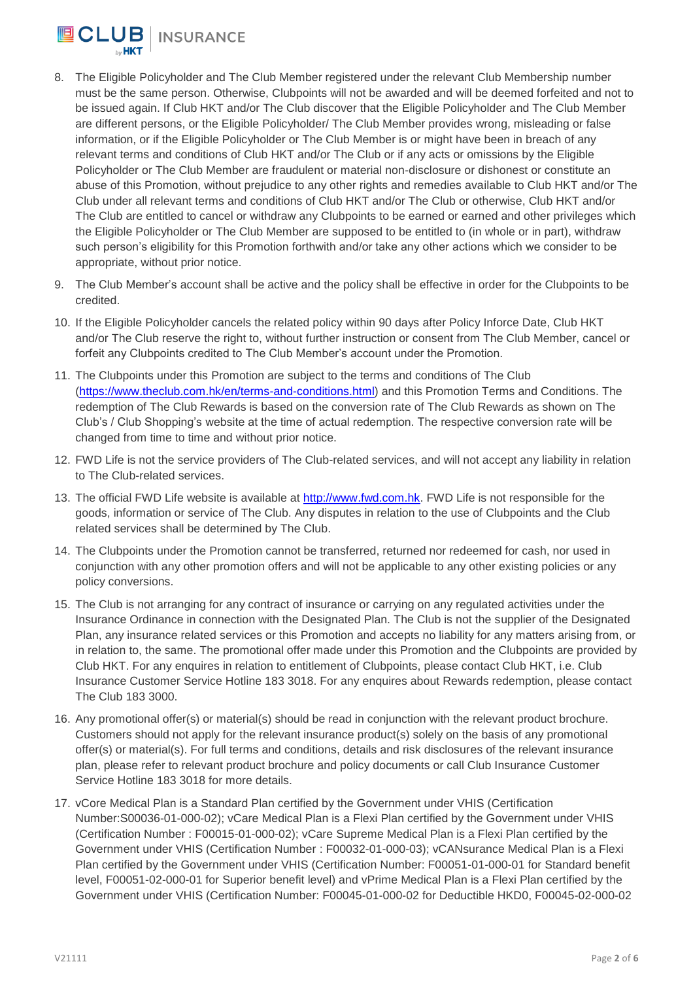

- 8. The Eligible Policyholder and The Club Member registered under the relevant Club Membership number must be the same person. Otherwise, Clubpoints will not be awarded and will be deemed forfeited and not to be issued again. If Club HKT and/or The Club discover that the Eligible Policyholder and The Club Member are different persons, or the Eligible Policyholder/ The Club Member provides wrong, misleading or false information, or if the Eligible Policyholder or The Club Member is or might have been in breach of any relevant terms and conditions of Club HKT and/or The Club or if any acts or omissions by the Eligible Policyholder or The Club Member are fraudulent or material non-disclosure or dishonest or constitute an abuse of this Promotion, without prejudice to any other rights and remedies available to Club HKT and/or The Club under all relevant terms and conditions of Club HKT and/or The Club or otherwise, Club HKT and/or The Club are entitled to cancel or withdraw any Clubpoints to be earned or earned and other privileges which the Eligible Policyholder or The Club Member are supposed to be entitled to (in whole or in part), withdraw such person's eligibility for this Promotion forthwith and/or take any other actions which we consider to be appropriate, without prior notice.
- 9. The Club Member's account shall be active and the policy shall be effective in order for the Clubpoints to be credited.
- 10. If the Eligible Policyholder cancels the related policy within 90 days after Policy Inforce Date, Club HKT and/or The Club reserve the right to, without further instruction or consent from The Club Member, cancel or forfeit any Clubpoints credited to The Club Member's account under the Promotion.
- 11. The Clubpoints under this Promotion are subject to the terms and conditions of The Club [\(https://www.theclub.com.hk/en/terms-and-conditions.html\)](https://www.theclub.com.hk/en/terms-and-conditions.html) and this Promotion Terms and Conditions. The redemption of The Club Rewards is based on the conversion rate of The Club Rewards as shown on The Club's / Club Shopping's website at the time of actual redemption. The respective conversion rate will be changed from time to time and without prior notice.
- 12. FWD Life is not the service providers of The Club-related services, and will not accept any liability in relation to The Club-related services.
- 13. The official FWD Life website is available at [http://www.fwd.com.hk.](http://www.fwd.com.hk/) FWD Life is not responsible for the goods, information or service of The Club. Any disputes in relation to the use of Clubpoints and the Club related services shall be determined by The Club.
- 14. The Clubpoints under the Promotion cannot be transferred, returned nor redeemed for cash, nor used in conjunction with any other promotion offers and will not be applicable to any other existing policies or any policy conversions.
- 15. The Club is not arranging for any contract of insurance or carrying on any regulated activities under the Insurance Ordinance in connection with the Designated Plan. The Club is not the supplier of the Designated Plan, any insurance related services or this Promotion and accepts no liability for any matters arising from, or in relation to, the same. The promotional offer made under this Promotion and the Clubpoints are provided by Club HKT. For any enquires in relation to entitlement of Clubpoints, please contact Club HKT, i.e. Club Insurance Customer Service Hotline 183 3018. For any enquires about Rewards redemption, please contact The Club 183 3000.
- 16. Any promotional offer(s) or material(s) should be read in conjunction with the relevant product brochure. Customers should not apply for the relevant insurance product(s) solely on the basis of any promotional offer(s) or material(s). For full terms and conditions, details and risk disclosures of the relevant insurance plan, please refer to relevant product brochure and policy documents or call Club Insurance Customer Service Hotline 183 3018 for more details.
- 17. vCore Medical Plan is a Standard Plan certified by the Government under VHIS (Certification Number:S00036-01-000-02); vCare Medical Plan is a Flexi Plan certified by the Government under VHIS (Certification Number : F00015-01-000-02); vCare Supreme Medical Plan is a Flexi Plan certified by the Government under VHIS (Certification Number : F00032-01-000-03); vCANsurance Medical Plan is a Flexi Plan certified by the Government under VHIS (Certification Number: F00051-01-000-01 for Standard benefit level, F00051-02-000-01 for Superior benefit level) and vPrime Medical Plan is a Flexi Plan certified by the Government under VHIS (Certification Number: F00045-01-000-02 for Deductible HKD0, F00045-02-000-02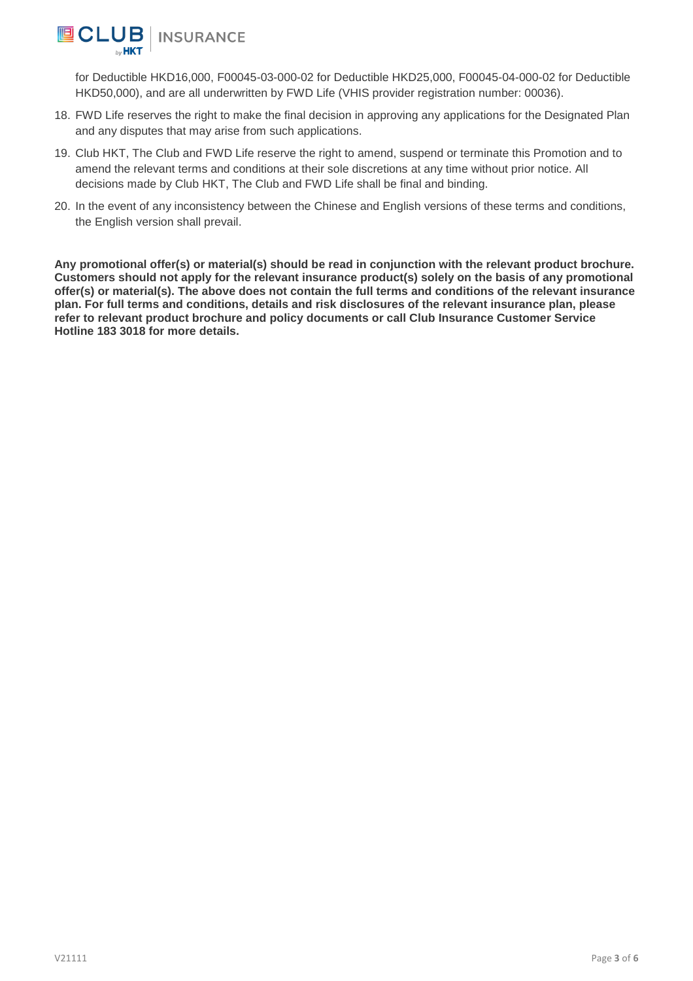

for Deductible HKD16,000, F00045-03-000-02 for Deductible HKD25,000, F00045-04-000-02 for Deductible HKD50,000), and are all underwritten by FWD Life (VHIS provider registration number: 00036).

- 18. FWD Life reserves the right to make the final decision in approving any applications for the Designated Plan and any disputes that may arise from such applications.
- 19. Club HKT, The Club and FWD Life reserve the right to amend, suspend or terminate this Promotion and to amend the relevant terms and conditions at their sole discretions at any time without prior notice. All decisions made by Club HKT, The Club and FWD Life shall be final and binding.
- 20. In the event of any inconsistency between the Chinese and English versions of these terms and conditions, the English version shall prevail.

**Any promotional offer(s) or material(s) should be read in conjunction with the relevant product brochure. Customers should not apply for the relevant insurance product(s) solely on the basis of any promotional offer(s) or material(s). The above does not contain the full terms and conditions of the relevant insurance plan. For full terms and conditions, details and risk disclosures of the relevant insurance plan, please refer to relevant product brochure and policy documents or call Club Insurance Customer Service Hotline 183 3018 for more details.**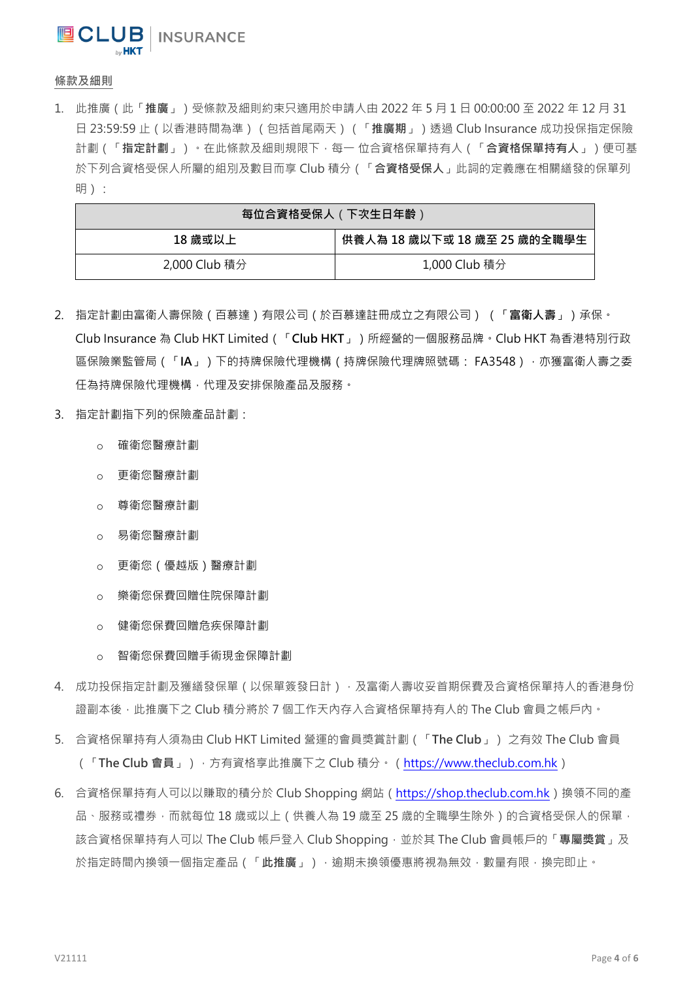**UCLUB** | INSURANCE

條款及細則

1. 此推廣(此「推廣」)受條款及細則約束只適用於申請人由 2022 年 5 月 1 日 00:00:00 至 2022 年 12 月 31 日 23:59:59 止(以香港時間為準)(包括首尾兩天)(「推廣期」)透過 Club Insurance 成功投保指定保險 計劃(「指定計劃」)。在此條款及細則規限下,每一位合資格保單持有人(「合資格保單持有人」)便可基 於下列合資格受保人所屬的組別及數目而享 Club 積分 (「合資格受保人」此詞的定義應在相關繕發的保單列 明):

| 每位合資格受保人(下次生日年齢) |                              |
|------------------|------------------------------|
| 18 歲或以上          | 供養人為 18 歲以下或 18 歲至 25 歲的全職學生 |
| 2,000 Club 積分    | 1,000 Club 積分                |

- 2. 指定計劃由富衛人壽保險 (百慕達)有限公司 (於百慕達註冊成立之有限公司) (「富衛人壽」)承保。 Club Insurance 為 Club HKT Limited ( 「Club HKT」)所經營的一個服務品牌。Club HKT 為香港特別行政 區保險業監管局(「IA」)下的持牌保險代理機構(持牌保險代理牌照號碼: FA3548),亦獲富衛人壽之委 任為持牌保險代理機構,代理及安排保險產品及服務。
- 3. 指定計劃指下列的保險產品計劃:
	- o 確衛您醫療計劃
	- o 更衛您醫療計劃
	- o 尊衛您醫療計劃
	- o 易衛您醫療計劃
	- o 更衛您(優越版)醫療計劃
	- o 樂衛您保費回贈住院保障計劃
	- o 健衛您保費回贈危疾保障計劃
	- o 智衛您保費回贈手術現金保障計劃
- 4. 成功投保指定計劃及獲繕發保單(以保單簽發日計),及富衛人壽收妥首期保費及合資格保單持人的香港身份 證副本後,此推廣下之 Club 積分將於 7 個工作天內存入合資格保單持有人的 The Club 會員之帳戶內。
- 5. 合資格保單持有人須為由 Club HKT Limited 營運的會員獎賞計劃(「The Club」) 之有效 The Club 會員 (「The Club 會員」),方有資格享此推廣下之 Club 積分。[\(https://www.theclub.com.hk\)](https://www.theclub.com.hk/)
- 6. 合資格保單持有人可以以賺取的積分於 Club Shopping 網站 ( https://shop.theclub.com.hk ) 換領不同的產 品、服務或禮券,而就每位 18 歲或以上 ( 供養人為 19 歲至 25 歲的全職學生除外 ) 的合資格受保人的保單, 該合資格保單持有人可以 The Club 帳戶登入 Club Shopping,並於其 The Club 會員帳戶的「專屬獎賞」及 於指定時間內換領一個指定產品(「此推廣」),逾期未換領優惠將視為無效,數量有限,換完即止。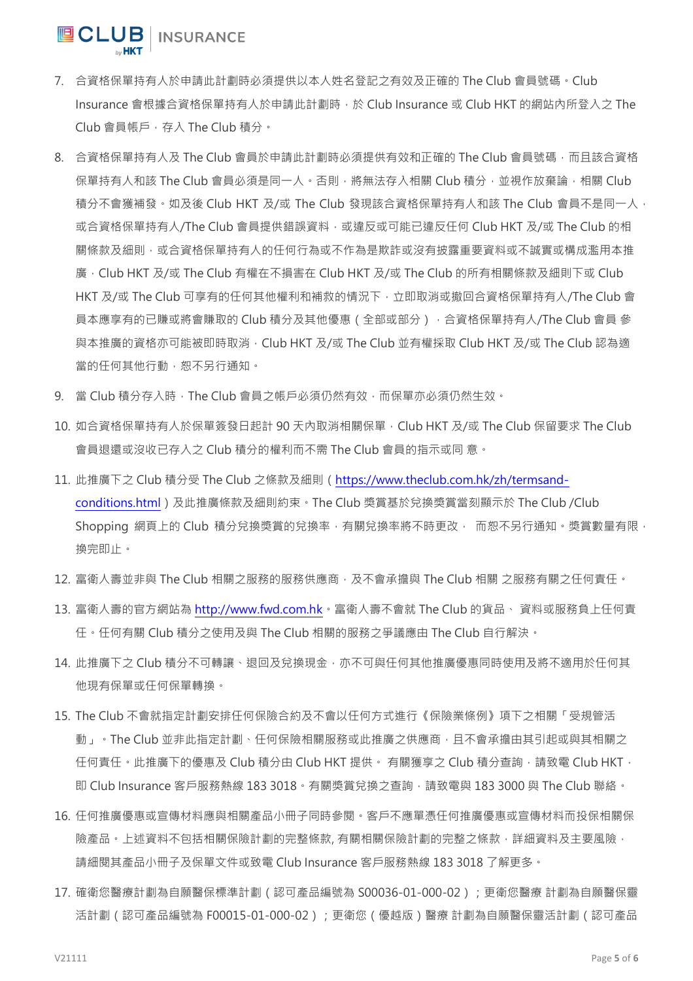- 7. 合資格保單持有人於申請此計劃時必須提供以本人姓名登記之有效及正確的 The Club 會員號碼。Club Insurance 會根據合資格保單持有人於申請此計劃時,於 Club Insurance 或 Club HKT 的網站內所登入之 The Club 會員帳戶, 存入 The Club 積分。
- 8. 合資格保單持有人及 The Club 會員於申請此計劃時必須提供有效和正確的 The Club 會員號碼,而且該合資格 保單持有人和該 The Club 會員必須是同一人。否則,將無法存入相關 Club 積分,並視作放棄論,相關 Club 積分不會獲補發。如及後 Club HKT 及/或 The Club 發現該合資格保單持有人和該 The Club 會員不是同一人, 或合資格保單持有人/The Club 會員提供錯誤資料,或違反或可能已違反任何 Club HKT 及/或 The Club 的相 關條款及細則,或合資格保單持有人的任何行為或不作為是欺詐或沒有披露重要資料或不誠實或構成濫用本推 廣,Club HKT 及/或 The Club 有權在不損害在 Club HKT 及/或 The Club 的所有相關條款及細則下或 Club HKT 及/或 The Club 可享有的任何其他權利和補救的情況下,立即取消或撤回合資格保單持有人/The Club 會 員本應享有的已賺或將會賺取的 Club 積分及其他優惠(全部或部分),合資格保單持有人/The Club 會員 參 與本推廣的資格亦可能被即時取消,Club HKT 及/或 The Club 並有權採取 Club HKT 及/或 The Club 認為適 當的任何其他行動,恕不另行通知。
- 9. 當 Club 積分存入時,The Club 會員之帳戶必須仍然有效,而保單亦必須仍然生效。
- 10. 如合資格保單持有人於保單簽發日起計 90 天內取消相關保單, Club HKT 及/或 The Club 保留要求 The Club 會員退還或沒收已存入之 Club 積分的權利而不需 The Club 會員的指示或同 意。
- 11. 此推廣下之 Club 積分受 The Club 之條款及細則[\(https://www.theclub.com.hk/zh/termsand](https://www.theclub.com.hk/zh/termsand-conditions.html)[conditions.html\)](https://www.theclub.com.hk/zh/termsand-conditions.html)及此推廣條款及細則約束。The Club 獎賞基於兌換獎賞當刻顯示於 The Club /Club Shopping 網頁上的 Club 積分兌換獎賞的兌換率, 有關兌換率將不時更改, 而恕不另行通知。獎賞數量有限, 換完即止。
- 12. 富衛人壽並非與 The Club 相關之服務的服務供應商,及不會承擔與 The Club 相關 之服務有關之任何責任。
- 13. 富衛人壽的官方網站為 [http://www.fwd.com.hk。](http://www.fwd.com.hk/)富衛人壽不會就 The Club 的貨品、 資料或服務負上任何責 任。任何有關 Club 積分之使用及與 The Club 相關的服務之爭議應由 The Club 自行解決。
- 14. 此推廣下之 Club 積分不可轉讓、退回及兌換現金,亦不可與任何其他推廣優惠同時使用及將不適用於任何其 他現有保單或任何保單轉換。
- 15. The Club 不會就指定計劃安排任何保險合約及不會以任何方式進行《保險業條例》項下之相關「受規管活 動 」。The Club 並非此指定計劃、任何保險相關服務或此推廣之供應商,且不會承擔由其引起或與其相關之 任何責任。此推廣下的優惠及 Club 積分由 Club HKT 提供。 有關獲享之 Club 積分查詢,請致電 Club HKT, 即 Club Insurance 客戶服務熱線 183 3018 · 有關獎賞兌換之查詢,請致電與 183 3000 與 The Club 聯絡 ·
- 16. 任何推廣優惠或宣傳材料應與相關產品小冊子同時參閱。客戶不應單憑任何推廣優惠或宣傳材料而投保相關保 險產品。上述資料不包括相關保險計劃的完整條款, 有關相關保險計劃的完整之條款, 詳細資料及主要風險, 請細閱其產品小冊子及保單文件或致電 Club Insurance 客戶服務熱線 183 3018 了解更多。
- 17. 確衛您醫療計劃為自願醫保標準計劃(認可產品編號為 S00036-01-000-02);更衛您醫療 計劃為自願醫保靈 活計劃(認可產品編號為 F00015-01-000-02);更衛您(優越版)醫療 計劃為自願醫保靈活計劃(認可產品